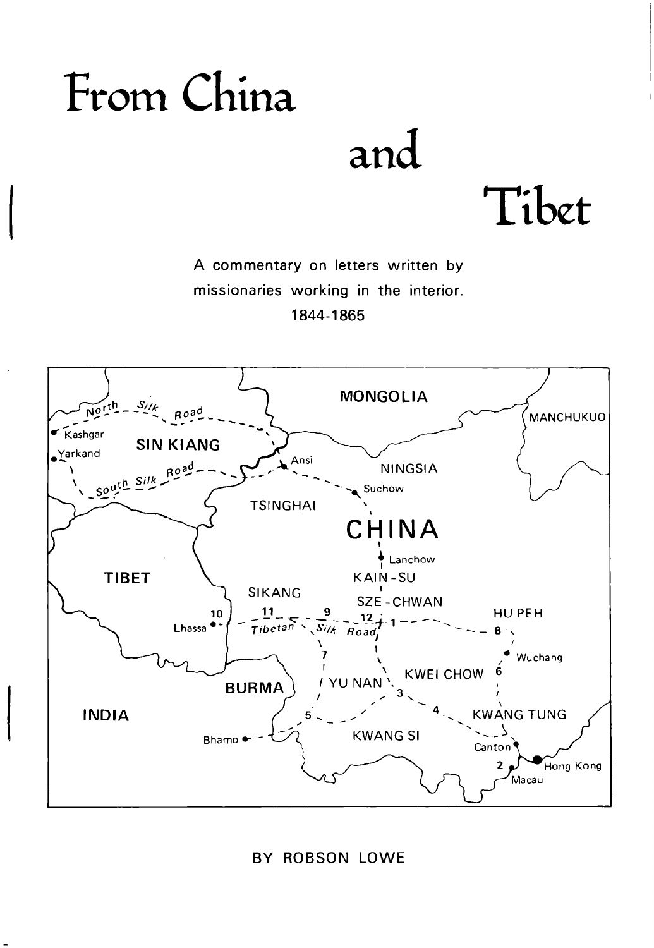### From China

and

Tibet

A commentary on letters written by missionaries working in the interior. 1844-1 865



**BY** ROBSON LOWE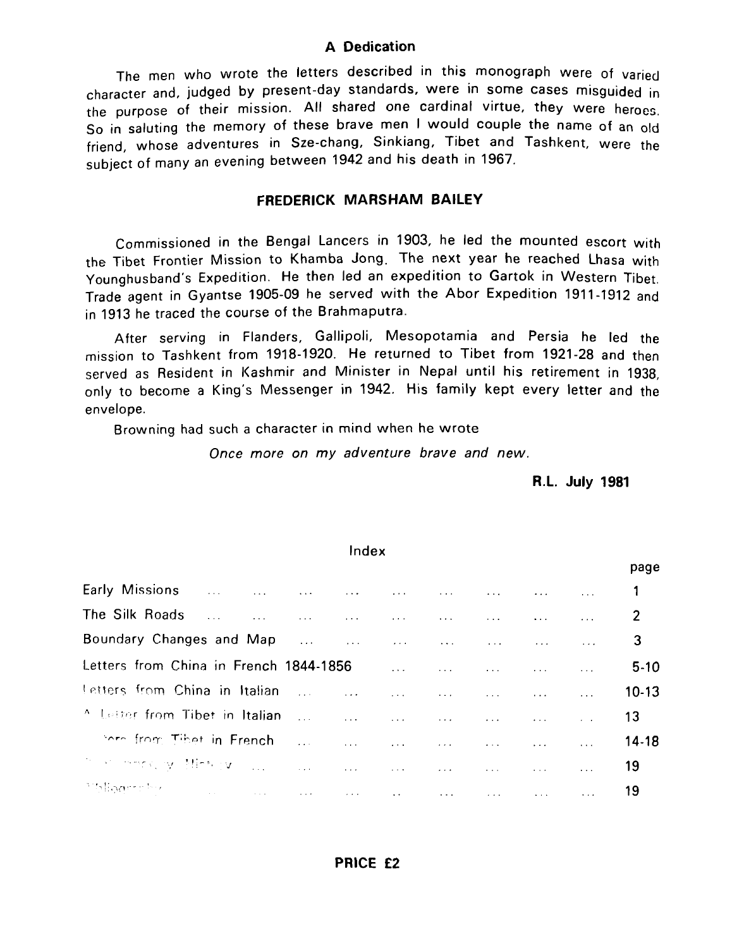### **A Dedication**

The men who wrote the letters described in this monograph were of varied character and, judged by present-day standards, Were in some cases misguided in the purpose of their mission. All shared one cardinal virtue, they were heroes, so in saluting the memory of these brave men I would couple the name of an old friend, whose adventures in Sze-chang, Sinkiang, Tibet and Tashkent, were the subject of many an evening between 1942 and his death in 1967.

### **FREDERICK MARSHAM BAILEY**

Commissioned in the Bengal Lancers in 1903, he led the mounted escort with the Tibet Frontier Mission to Khamba Jong. The next year he reached Lhasa with Younghusband's Expedition. He then led an expedition to Gartok in Western Tibet, Trade agent in Gyantse 1905-09 he served with the Abor Expedition 1911-1912 and in 1913 he traced the course of the Brahmaputra.

After serving in Flanders, Gallipoli, Mesopotamia and Persia he led the mission to Tashkent from 1918-1920. He returned to Tibet from 1921-28 and then served as Resident in Kashmir and Minister in Nepal until his retirement in 1938, only to become a King's Messenger in 1942. His family kept every letter and the envelope.

Browning had such a character in mind when he wrote

Once more on my adventure brave and new.

**R.L. July 1981** 

| Index                                                                                                                                                                                                                          |  |  |  |  |  |  |  |             |
|--------------------------------------------------------------------------------------------------------------------------------------------------------------------------------------------------------------------------------|--|--|--|--|--|--|--|-------------|
|                                                                                                                                                                                                                                |  |  |  |  |  |  |  | page        |
| Early Missions and the contract of the contract of the contract of the contract of the contract of the contract of the contract of the contract of the contract of the contract of the contract of the contract of the contrac |  |  |  |  |  |  |  |             |
|                                                                                                                                                                                                                                |  |  |  |  |  |  |  |             |
|                                                                                                                                                                                                                                |  |  |  |  |  |  |  | $3^{\circ}$ |
|                                                                                                                                                                                                                                |  |  |  |  |  |  |  | $5-10$      |
| Letters from China in Italian (11) 11 (11) 111 (11) 111 (11) 111 (11) 111                                                                                                                                                      |  |  |  |  |  |  |  | $10-13$     |
|                                                                                                                                                                                                                                |  |  |  |  |  |  |  |             |
| there from Tibet in French and all and all all all all all all all all all                                                                                                                                                     |  |  |  |  |  |  |  | $14-18$     |
| the monthly Hinkey come and a man and a man and a man and an                                                                                                                                                                   |  |  |  |  |  |  |  | 19          |
| Malagraphy - Andrea Andrew Andrew Andrew Andrew Andrew Andrew Andrew Andrew                                                                                                                                                    |  |  |  |  |  |  |  | 19          |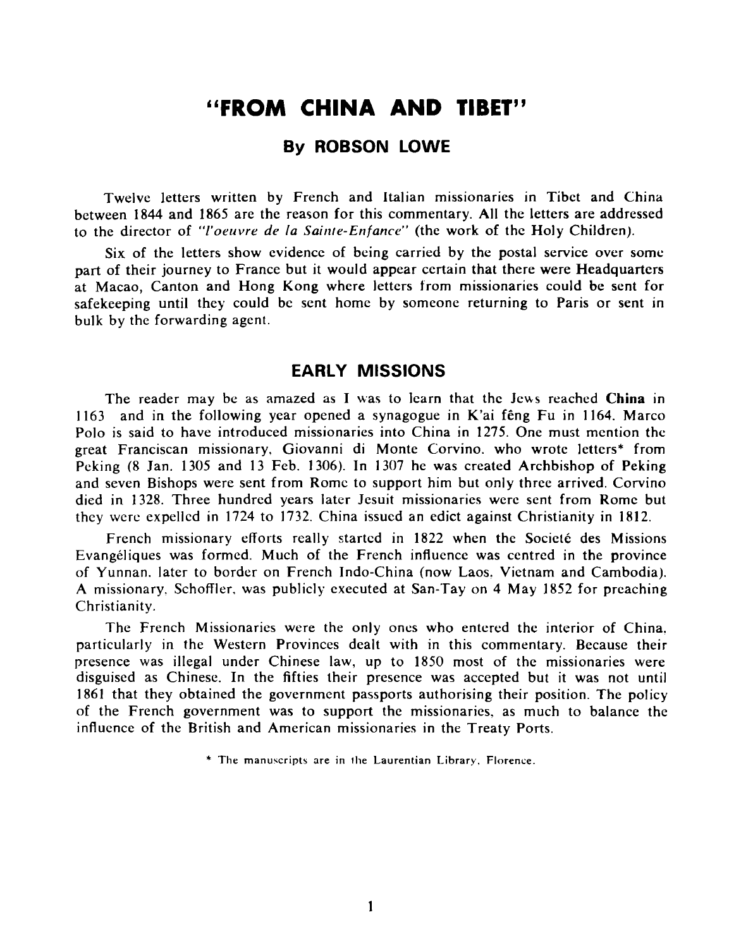### "FROM CHINA AND TIBET"

### **By ROBSON LOWE**

Twelve letters written by French and Italian missionaries in Tibet and China between **1844** and **1865** are the reason for this commentary. All the letters are addressed to the director of "l'oruvre de la *Sainle-Enfance"* (the work of the Holy Children).

Six of the letters show evidence of bcing carried by the postal service over some part of their journey to France but it would appear certain that there were Headquarters at Macao, Canton and Hong Kong where letters from missionaries could be sent for safekeeping until they could be sent home by someone returning to Paris or sent in bulk by the forwarding agent.

### **EARLY MISSIONS**

The reader may be as amazed as I was to learn that the Jews reached China in **1163** and in the following year opened a synagogue in K'ai fEng Fu in **1164.** Marco Polo is said to have introduced missionaries into China in **1275.** One must mention the great Franciscan missionary. Giovanni di Monte Corvino. who wrote letters\* from Peking (8 Jan. **1305** and **13** Feb. **1306).** In **1307** he was created Archbishop of Peking and seven Bishops were sent from Rome to support him but only three arrived. Corvino died in **1328.** Three hundred years later Jesuit missionaries werc sent from Rome but they were expelled in **1724** to **1732.** China issued an edict against Christianity in **1812.** 

French missionary efforts really startcd in **1822** when the Sociele des Missions Evangeliques was formed. Much of the French influence was centred in the province of Yunnan. later to border on French Indo-China (now Laos. Vietnam and Cambodia). A missionary. Schoffler, was publicly executed at San-Tay on **4** May **1852** for preaching Christianity.

The French Missionaries were the only oncs who entered the interior of China. particularly in the Western Provinces dealt with in this commentary. Because their presence was illegal under Chinese law, up to **1850** most of the missionaries were disguised as Chinese. In the fifties their presence was accepted but it was not until **1861** that they obtained the government passports authorising their position. The policy of the French government was to support the missionaries, as much to balance the influence of the British and American missionaries in the Treaty Ports.

\* **The manuscripts are in the Laurentian Library, Florence.**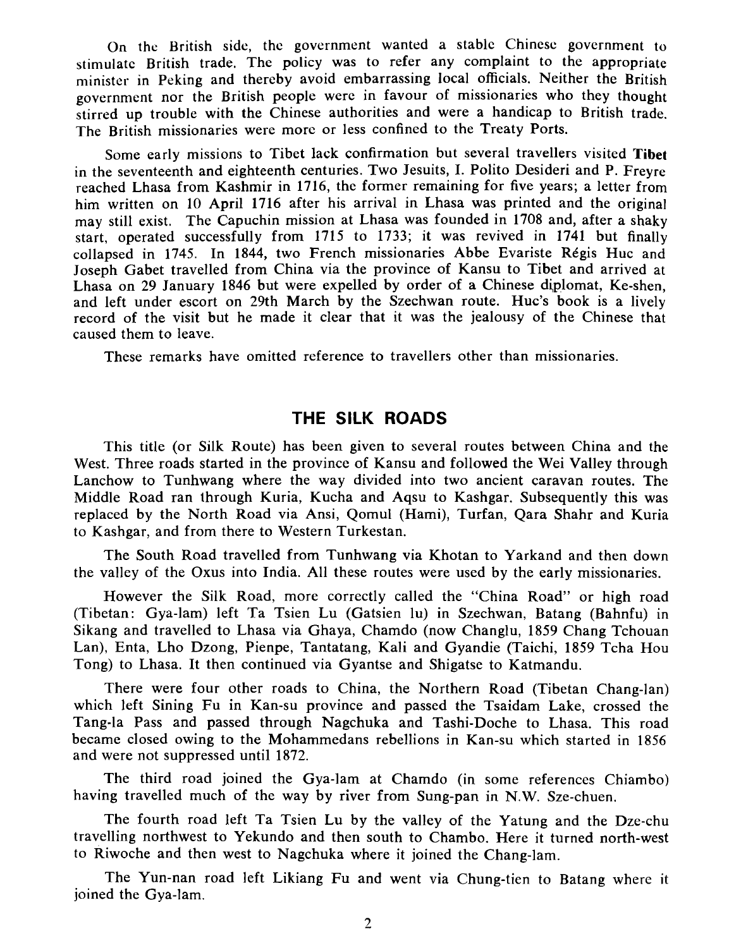On thc British side, thc governmcnt wanted a stablc Chincsc government to stimulate British trade. Thc policy was to refer any complaint to the appropriate minister in Peking and thereby avoid embarrassing local officials. Neither the British government nor the British people were in favour of missionaries who they thought stirred up trouble with the Chinese authorities and were a handicap to British trade. The British missionaries werc morc or less confined to the Treaty Ports.

Some early missions to Tibet lack confirmation but several travellers visited **Tibet**  in the seventeenth and eighteenth centuries. Two Jesuits, I. Polito Desideri and P. Freyre reached Lhasa from Kashmir in **1716,** the former remaining for five years; a letter from him written on **10** April **1716** after his arrival in Lhasa was printed and the original may still exist. The Capuchin mission at Lhasa was founded in **1708** and, after a shaky start, operated successfully from **1715** to **1733;** it was revived in **1741** but finally collapsed in 1745. In 1844, two French missionaries Abbe Evariste Régis Huc and Joseph Gabet travelled from China via the province of Kansu to Tibet and arrived at Lhasa on **29** January **1846** but were expelled by order of a Chinese diplomat, Ke-shen, and left under escort on 29th March by the Szechwan route. Huc's book is a lively record of the visit but he made it clear that it was the jealousy of the Chinese that caused them to leave.

These remarks have omitted reference to travellers other than missionaries.

### **THE SILK ROADS**

This title (or Silk Route) has been given to several routes between China and the West. Three roads started in the province of Kansu and followed the Wei Valley through Lanchow to Tunhwang where the way divided into two ancient caravan routes. The Middle Road ran through Kuria, Kucha and Aqsu to Kashgar. Subsequently this was replaced by the North Road via Ansi, Qomul (Hami), Turfan, Qara Shahr and Kuria to Kashgar, and from there to Western Turkestan.

The South Road travelled from Tunhwang via Khotan to Yarkand and then down the valley of the Oxus into India. All these routes were used by the early missionaries.

However the Silk Road, more correctly called the "China Road" or high road (Tibetan: Gya-lam) left Ta Tsien Lu (Gatsien lu) in Szechwan, Batang (Bahnfu) in Sikang and travelled to Lhasa via Ghaya, Chamdo (now Changlu, **1859** Chang Tchouan Lan), Enta, Lho Dzong, Pienpe, Tantatang, Kali and Gyandie (Taichi, **1859** Tcha Hou Tong) to Lhasa. It then continued via Gyantse and Shigatse to Katmandu.

There were four other roads to China, the Northern Road (Tibetan Chang-lan) which left Sining Fu in Kan-su province and passed the Tsaidam Lake, crossed the Tang-la Pass and passed through Nagchuka and Tashi-Doche to Lhasa. This road became closed owing to the Mohammedans rebellions in Kan-su which started in **1856**  and were not suppressed until **1872.** 

The third road joined the Gya-lam at Chamdo (in some references Chiambo) having travelled much of the way by river from Sung-pan in N.W. Sze-chuen.

The fourth road left Ta Tsien Lu by the valley of the Yatung and the Dze-chu travelling northwest to Yekundo and then south to Chambo. Here it turned north-west to Riwoche and then west to Nagchuka where it joined the Chang-lam.

The Yun-nan road left Likiang Fu and went via Chung-tien to Batang where it joined the Gya-lam.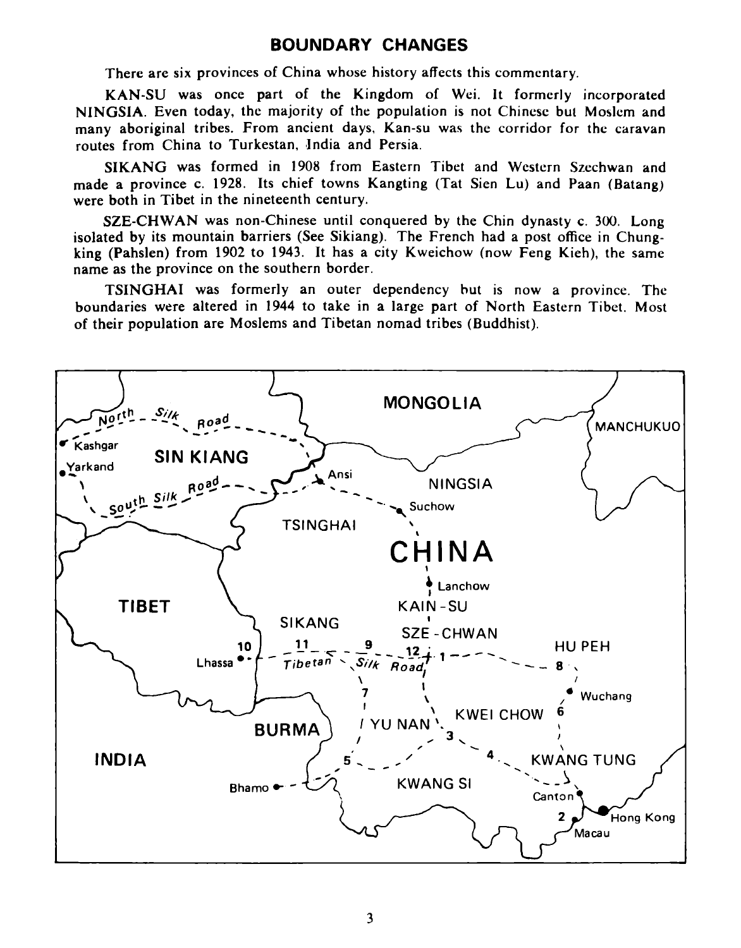### **BOUNDARY CHANGES**

There are six provinces of China whose history affects this commentary.

KAN-SU was once part of the Kingdom of Wei. It formerly incorporated NINGSIA. Even today, the majority of the population is not Chinese but Moslem and many aboriginal tribes. From ancient days, Kan-su was the corridor for thc caravan routes from China to Turkestan, India and Persia.

SIKANG was formed in 1908 from Eastern Tibet and Western Szechwan and made a province c. **1928.** Its chief towns Kangting (Tat Sien Lu) and Paan (Batang) were both in Tibet in the nineteenth century.

SZE-CHWAN was non-Chinese until conquered by the Chin dynasty c. **300.** Long isolated by its mountain barriers (See Sikiang). The French had a post office in Chungking (Pahslen) from **1902** to **1943.** It has a city Kweichow (now Feng Kieh), the same name as the province on the southern border.

TSINGHAI was formerly an outer dependency hut is now a province. The boundaries were altered in **1944** to take in a large part of North Eastern Tibet. Most of their population are Moslems and Tibetan nomad tribes (Buddhist).

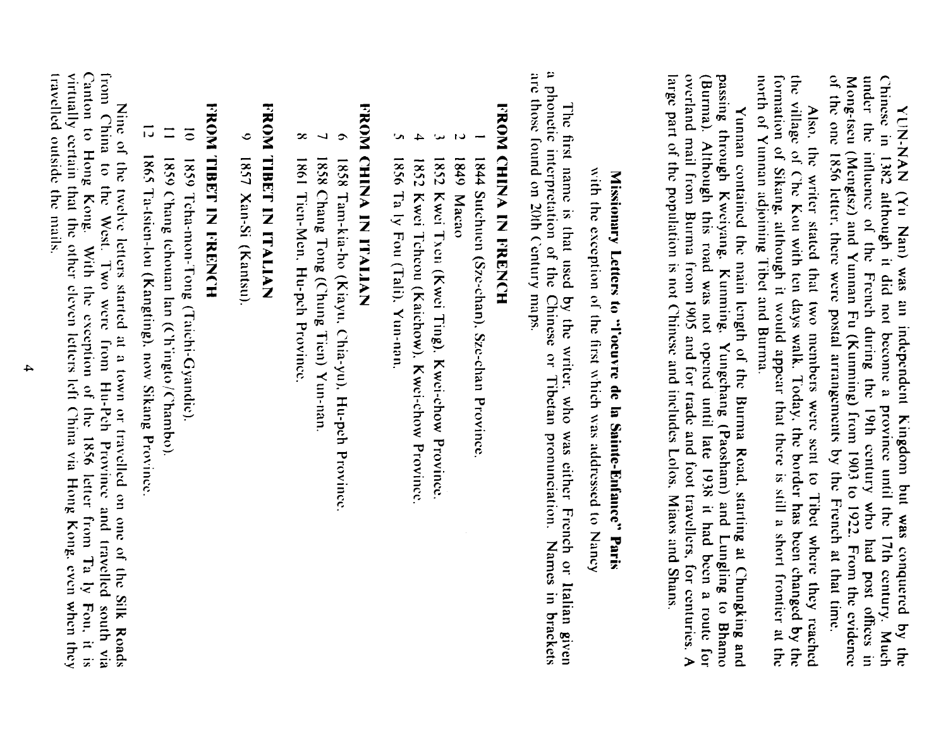of the one 1856 letter, there were postal arrangements by the French at that time. YUN-MAN (Yu Nan) was an independent Kingdom but was conquered by the Chinese in 1382 although it did not become a province until the 17th century. Much Mong-tseu (Mengtsz) and Yunnan Fu (Kunning) from 1903 to 1922. From the evidence under the influence of the French during the 19th century who had post offices in

north of Yunnan adjoining Tibet and Burma. formation of Sikang, although it would appear that there is still a short frontier at the the village of Che Kou with ten days walk. Today, the border has been changed by the Also, the writer stated that two members were sent to Tibet where they reached

large part of the population is not Chinese and includes Lolos, Miaos and Shans. overland mail from Burma from 1905 and for trade and foot travellers, for centuries. A (Burma). Although this road was not opened until late 1938 it had been a route for passing through Kweiyang, Kunning, Yungchang (Paosham) and Lungling to Bhamo Yunnan contained the main length of the Burma Road, starting at Chungking and

# Missionary Letters to "l'ocuvre de la Sainte-Enfance" Paris

with the exception of the first which was addressed to Nancy

a phonetic interpretation of the Chinese or Tibetan pronunciation. Names in brackets The first name is that used by the writer, who was either French or Italian given

## **FROM CHINA IN FRENCH**

- 1844 Sutchien (Sze-chan), Sze-chan Province
- 1849 Macao
- ىدا 1852 Kwei Txen (Kwei Ting), Kwei-chow Province.
- $\rightarrow$ 1852 Kwei Tcheou (Kaichow), Kwei-chow Province
- Š 1856 Ta ly Fou (Tali). Yun-nan.

# **FROM CHINA IN ITAILA**

- $\tilde{\mathbf{c}}$ 1858 Tan-kia-ho (Kiayu, Chia-yu), Hu-peh Province
- $\overline{ }$ 1858 Chang Tong (Chung Tien) Yun-nan
- $\infty$ 1861 Ticn-Nen: Hupeh Proxisco

## NAMIDELI MUSLIMON

 $\ddot{\circ}$ 1857 Xan-Si (Kantsu)

## **HOME IN METHALMONI**

- $\overline{\circ}$ 1859 Tcha-mon-Tong (Taichi-Gyandie).
- $\equiv$ 1859 Chang tchouan lan (Chingto/Chambo).
- $\overline{1}$ 1865 Ta-tsien-lou (Kangting), now Sikang Province

Nine of the twelve letters started at a town or travelled on one of the Silk Roads from China to the West. Two were from Hu-Peh Province and travelled south via Canton to Hong Kong. With the exception of the 1856 letter from Ta by Fou, it is travelled outside the mails. virtually certain that the other cleven letters left China via Hong Kong, even when they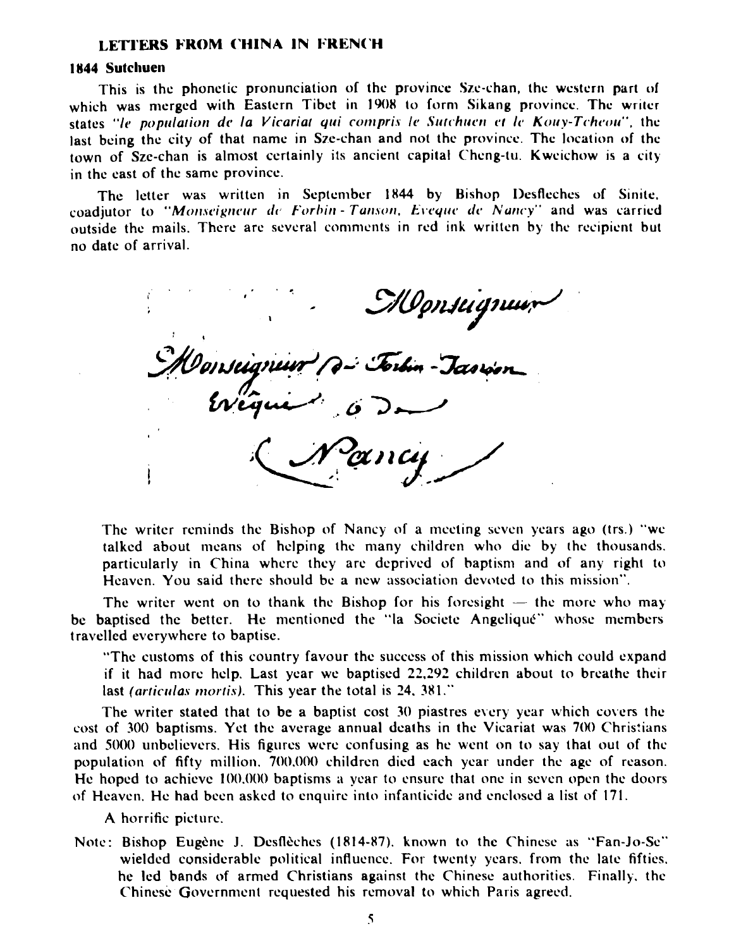### **LETTERS FROM CHINA IN FRENCH**

### 1844 Sutchuen

This is the phonetic pronunciation of the province Szc-chan, the western part **of**  which was merged with Eastern Tibet in 1908 to form Sikang province. The writer states "le population de la Vicariat qui compris le Sutchuen et le Kouy-Tcheou", the last being the city of that name in Sze-chan and not the province. The location of the town of Sze-chan is almost certainly its ancient capital Chcng-tu. Kwcichow is a city in the east of the same province.

The letter was written in September 1844 by Bishop Desfleches of Sinite. coadjutor to "Monseigneur de Forbin-Tanson, Eveque de Nancy" and was carried outside the mails. There are several comments in red ink written by the recipient but no date of arrival.

MIgnslignud<br>Torbin – Tæorion

The writer reminds the Bishop of Nancy of a meeting seven years ago (trs.) "we talked about means of helping the many children who die by the thousands. particularly in China whcrc they arc deprived of haptisni and of any right to Heaven. You said there should be a new association devoted to this mission".

The writer went on to thank the Bishop for his foresight  $-$  the more who may be baptised the better. He mentioned the "la Societe Angelique" whose members travelled evcrywhcre to baptise.

"The customs of this country favour the succcss of this mission which could expand if it had more help. Last ycar we baptiscd **22.292** children about to brcathc their last *(articulas mortis)*. This year the total is 24, 381."

The writer stated that to be a baptist cost  $30$  piastres every year which covers the cost of 300 baptisms. Yet the average annual deaths in the Vicariat was 700 Christians and 5000 unbelievers. His figures were confusing as he went on to say that out of the population of fifty n~illion. 700.000 children died each ycar under thc age of reason. He hoped to achieve 100,000 baptisms a year to ensure that one in seven open the doors of Heaven. He had been asked to enquire into infanticide arid enclosed a list of **17** 1.

**A** horrific picture.

Note: Bishop Eugène J. Desflèches (1814-87). known to the Chinese as "Fan-Jo-Se" wielded considerable political influcncc. For twenty ycars. from the late fifties. hc led hands of armed Christians against the Chinese authorities. Finally. the Chinese Government requested his removal to which Paris agreed.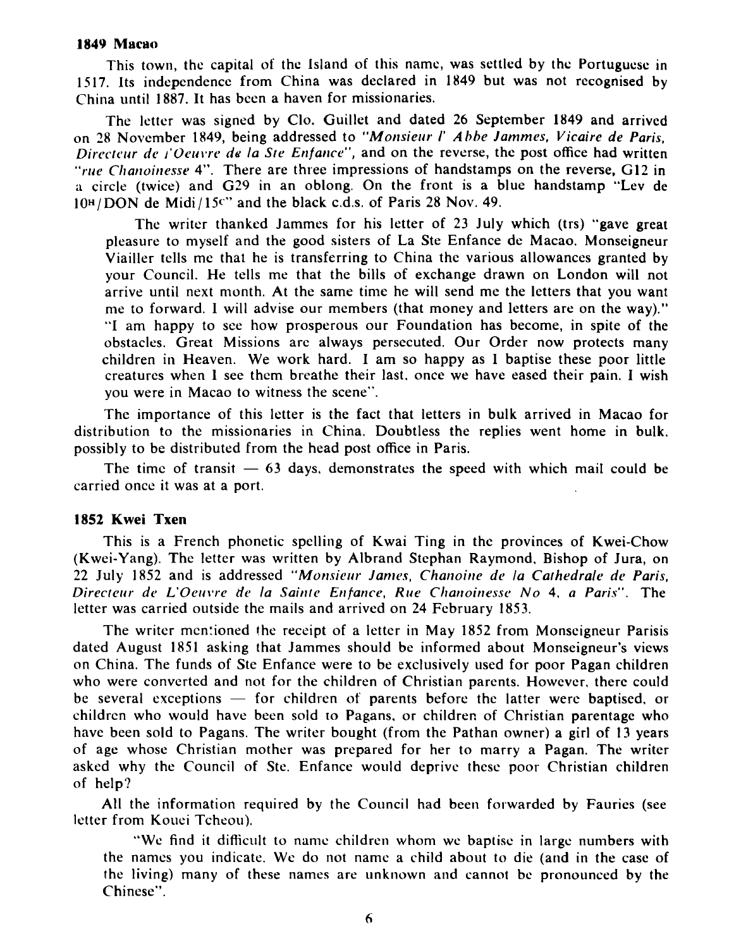### **1849 Macao**

This town, the capital of the Island of this name, was settled by the Portuguese in 1517. Its independence from China was declared in 1849 but was not rccognised by China until 1887. It has been a haven for missionaries.

The letter was signed by Clo. Guillet and dated 26 September 1849 and arrived on 28 November 1849, being addressed to "Monsieur I' Abbe Jammes, Vicaire de Paris, Directeur de *l'Oeuvre de la Ste Enfance''*, and on the reverse, the post office had written "rue Chanoinesse 4". There are three impressions of handstamps on the reverse, G12 in a circle (twice) and G29 in an oblong. On the front is a blue handstamp "Lev de  $10<sup>H</sup>/DOM$  de Midi/15<sup>c</sup>" and the black c.d.s. of Paris 28 Nov. 49.

The writer thanked Jammes for his letter of 23 July which (trs) "gave great pleasure to myself and the good sisters of La Ste Enfance de Macao. Monseigneur Viailler tells me that he is transferring to China the various allowances granted by your Council. He tells me that the bills of exchange drawn on London will not arrive until next month. At the same time he will send me the letters that you want me to forward. 1 will advise our members (that money and letters are on the way)." "I am happy to see how prosperous our Foundation has become, in spite of the obstacles. Great Missions are always persecuted. Our Order now protects many children in Heaven. We work hard. I am so happy as 1 baptise these poor little creatures when 1 see them breathe their last. once we have eased their pain. I wish you were in Macao to witness the scene".

The importance of this letter is the fact that letters in bulk arrived in Macao for distribution to the missionaries in China. Doubtless the replies went home in bulk. possibly to be distributed from the head post office in Paris.

The time of transit  $-63$  days, demonstrates the speed with which mail could be carried once it was at a port.

### **1852 Kwei Txen**

This is a French phonetic spelling of Kwai Ting in the provinces of Kwei-Chow (Kwei-Yang). The lettcr was written by Albrand Stephan Raymond. Bishop of Jura, on 22 July 1852 and is addressed "Monsieur James, Chanoine de la Cathedrale de Paris, Directeur de L'Oeuvre de la Sainte Enfance, Rue Chanoinesse No 4, a Paris". The letter was carried outside the mails and arrived on 24 February 1853.

The writer mentioned the receipt of a letter in May 1852 from Monseigneur Parisis dated August 1851 asking that Jammes should be informed about Monseigneur's views on China. The funds of Ste Enfance were to be exclusively used for poor Pagan children who were converted and not for the children of Christian parents. However, there could be several exceptions  $-$  for children of parents before the latter were baptised, or childrcn who would have been sold to Pagans, or childrer, of Christian parentage who have been sold to Pagans. The writer bought (from the Pathan owner) a girl of 13 years of age whose Christian mother was prepared for her to marry a Pagan. The writer asked why the Council of Ste. Enfance would deprive these poor Christian children of help?

All the information required by the Council had been forwarded by Faurics (see letter from Kouci Tcheou).

"We find it difficult to name children whom we baptise in large numbers with the names you indicate. We do not name a child about to die (and in the case of the living) many of these names are unknown and cannot be pronounced by the Chinese".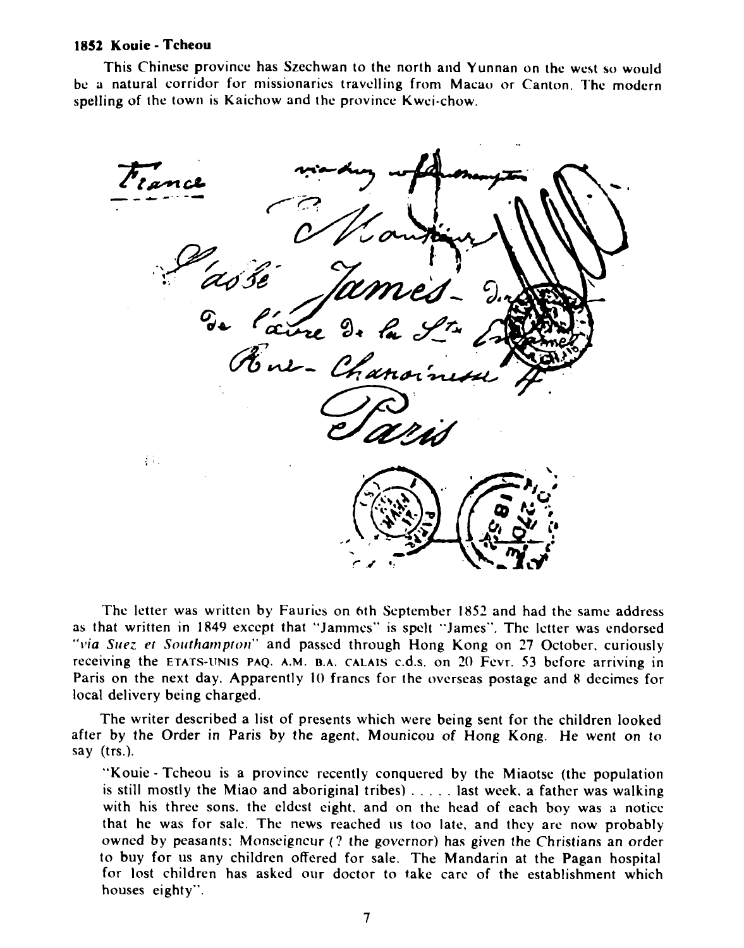### **1852 Kouie** - **Tcheou**

This Chinese province has Szechwan to the north and Yunnan on the west so would be a natural corridor for missionaries travelling from Macao or Canton. Thc modcrn spelling of the town is Kaichow and the province Kwei-chow.



The letter was written by Faurics on 6th September 1852 and had the same address as that written in 1849 except that "Jammes" is spelt "James". The letter was endorsed *"via Sue;. et Sortthan~ptorr"* and passed through Hong Kong on 27 October. curiously receiving the **ETATS-uNIS PAQ. A.M. B.A. CALAIS** c.d.s. on **20** Fcvr. 53 before arriving in Paris on the next day. Apparently 10 francs for the overseas postage and 8 decimes for local delivery being charged.

The writer described a list of presents which were being sent for the children looked after by the Order in Paris by the agent. Mounicou of Hong Kong. He went on to say (trs.).

"Kouie - Tcheou is a provincc recently conquered by the Miaotse (the populatiori is still mostly the Miao and aboriginal tribes) . . . . . last week. a father was walking with his three sons. the eldest eight. and on the head of each boy was a notice that he was for sale. The news reached us too late, and they are now probably owned by peasants: Monseigneur (? the governor) has given the Christians an order to buy for us any children offered for sale. The Mandarin at the Pagan hospital for lost children has asked our doctor to take carc of the establishment which houses eighty".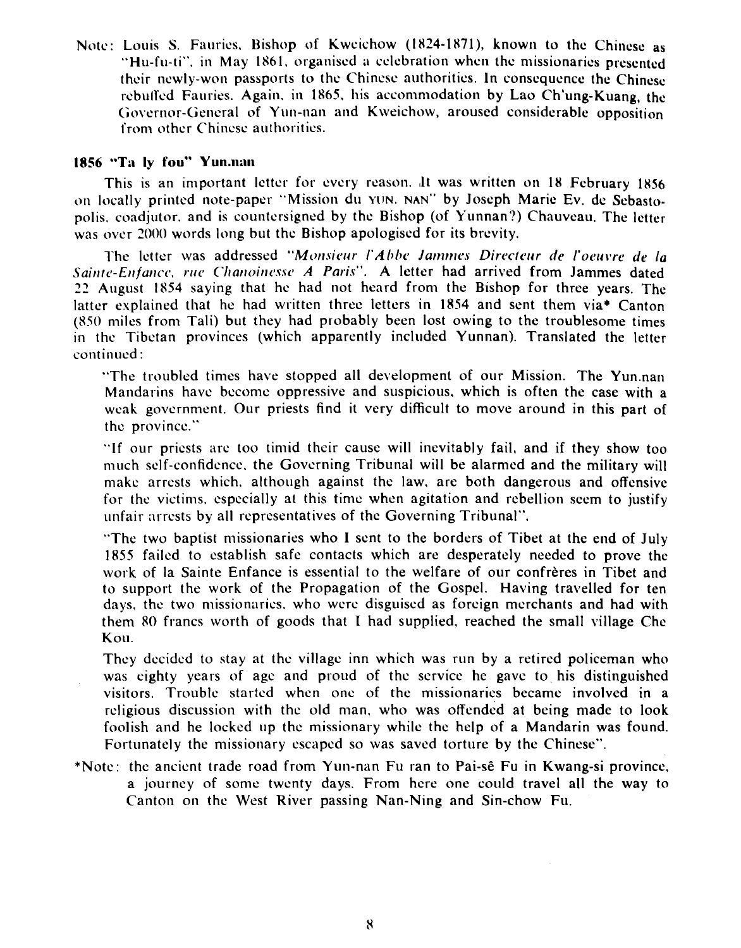Note: Louis S. Fauries, Bishop of Kweichow (1824-1871), known to the Chinese as "Hu-fu-ti", in May 1861, organised a celebration when the missionaries presented their newly-won passports to the Chinese authorities. In consequence the Chincsc rebuffed Fauries. Again, in 1865, his accommodation by Lao Ch'ung-Kuang, the Governor-General of Yun-nan and Kweichow, aroused considerable opposition from other Chinese authorities.

### **1856 <b>"Ta ly fou" Yun.nan**

This is an important letter for every reason. ,lt was written on **18** February **1856**  on locally printed note-paper "Mission du **YON.** NAN" by Joseph Marie Ev. de Scbastopolis. coadjutor. and is countersigned by the Bishop (of Yunnan?) Chauvcau. The letter was over **7000** words long but the Bishop apologised for its brevity.

l'he letter was addressed *"Monsieur l'Abbe Jammes Directeur de l'oeuvre de la* Sainte-Enfance, rue Chanoinesse A Paris". A letter had arrived from Jammes dated **72** August IS54 saying that he had riot heard froni the Blshop for three years. The latter evplained that he had written threc letters in 1854 and sent them via\* Canton  $(850)$  miles from Tali) but they had probably been lost owing to the troublesome times in the Tibetan provinces (which apparently included Yunnan). Translated the letter continued :

"The troubled times have stopped all development of our Mission. The Yun.nan Mandarins have beconic oppressive and suspicious. which is often the case with a weak government. Our priests find it very difficult to move around in this part of thc province."

"If our priests arc too timid their cause will inevitably fail, and if they show too much sclf-confidence. the Governing Tribunal will be alarmed and the military will niakc arrests which. although against the law, are both dangerous and offensive for the victims. especially at this time whcn agitation and rebellion seem to justify unfair arrests by all representatives of the Governing Tribunal".

"The two baptist niissionaries who I sent to the borders of Tibet at the end of July 1855 failed to establish safc contacts which are desperately needed to prove thc work of la Sainte Enfance is essential to the welfare of our confreres in Tibet and to support the work of the Propagation of the Gospel. Having travelled for ten days, the two missionaries. who were disguised as foreign merchants and had with them 80 francs worth of goods that **T** had supplied. reached the small village Chc Kou.

They decided to stay at the village inn which was run by a retired policeman who was eighty years of age and proud of the service hc gavc to his distinguished visitors. Trouble started whcn one of the missionarics became involved in a religious discussion with the old man, who was offended at being made to look foolish and he locked up the missionary while the help of a Mandarin was found. Fortunately the missionary escaped so was saved torture by the Chinese".

\*Note: the ancient trade road from Yun-nan Fu ran to Pai-sê Fu in Kwang-si province, a journey of some twenty days. From here one could travel all the way to Canton on the West River passing Nan-Nine and Sin-chow Fu.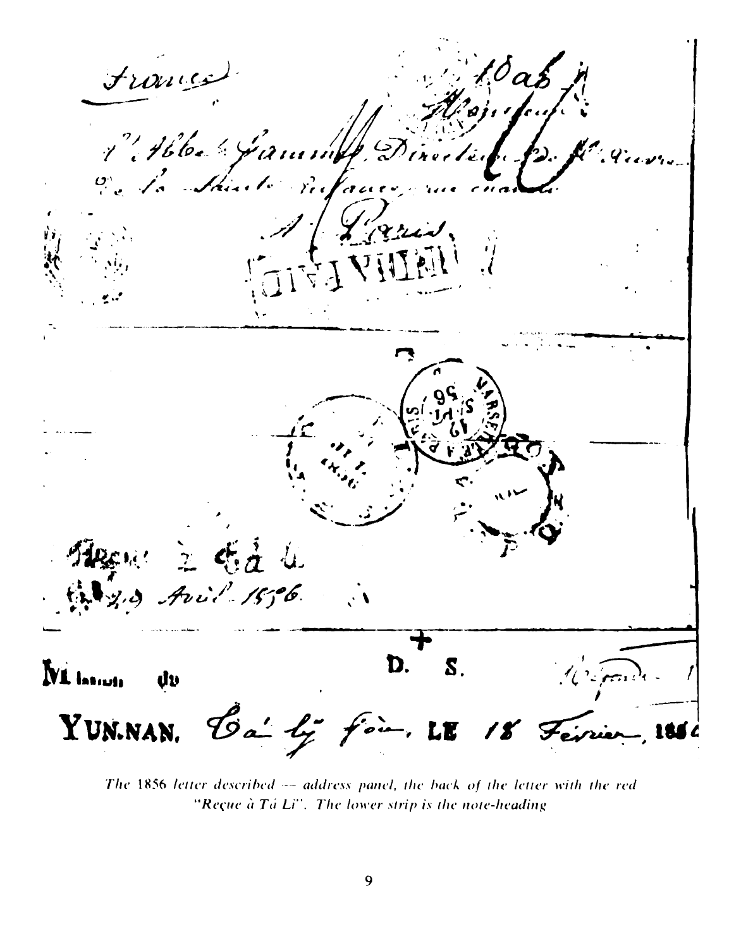France  $\sqrt[e]{a}$ 1. Abbel Gamme De la Sainte P. Van aris, 立時立业 na e de la contra de la contra de la contra de la contra de la contra de la contra de la contra de la contra d<br>Contra de la contra de la contra de la contra de la contra de la contra de la contra de la contra de la contra  $Avil.1506$ D.  $\overline{\mathbf{S}}$  . **NL** Issiuti đυ  $\mathcal{N}$  . Form Bai ly fois. LE 18 Février YUN.NAN.

The 1856 letter described -- address panel, the back of the letter with the red "Reçue à Tá Li". The lower strip is the note-heading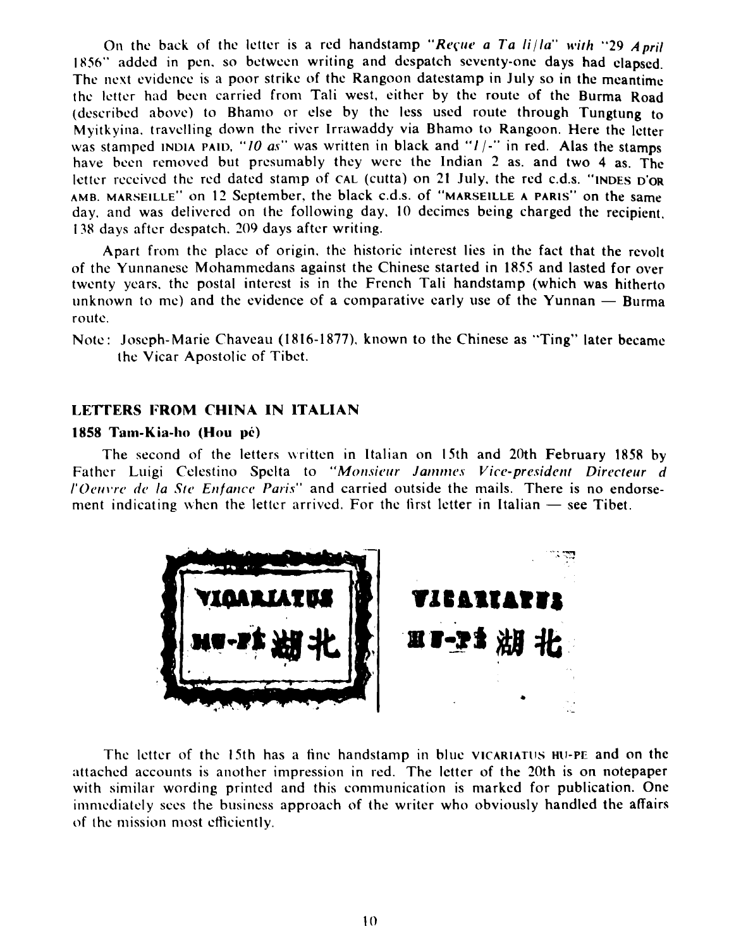On the back of the letter is a red handstamp "Regue a Ta  $\frac{di}{a}$ " with "29 *April*" 1856" added in pen, so between writing and despatch seventy-one days had clapsed. The next evidence is a poor strike of the Rangoon datestamp in July so in the meantime the letter had been carried from Tali west, either by the route of the Burma Road (described above) to Bhamo or else by the less used route through Tungtung to Myitkyina. travelling down the river Irrawaddy via Bhamo to Rangoon. Here the letter was stamped **INDIA PAID.** "*IO as*" was written in black and "*I/-*" in red. Alas the stamps have been removed but presumably they were the Indian 2 as. and two 4 as. The letter received the red dated stamp of CAL (cutta) on 21 July, the red c.d.s. "INDES D'OR AMB. MARSEILLE" on 12 September, the black c.d.s. of "MARSEILLE A PARIS" on the same day. and was delivered on the following day. 10 decimes being charged the recipient. 1.78 days aftcr dcspatch. 209 days aftcr writing.

Apart from the place of origin. the historic interest lies in the fact that the revolt of the Yunnanese Mohammedans against the Chinese started in 1855 and lasted for over twenty years, the postal interest is in the French Tali handstamp (which was hitherto of the Yunnanese Mohammedans against the Chinese started in 1855 and lasted for over<br>twenty years, the postal interest is in the French Tali handstamp (which was hitherto<br>unknown to me) and the evidence of a comparative ea routc.

Note: Joseph-Marie Chaveau (1816-1877), known to the Chinese as "Ting" later became the Vicar Apostolic of Tibet.

### **LEITERS FROM CHlNA IN lTALIAN**

### **1858 Tam-Kis-l~o (Hou yc)**

The second of the letters written in Italian on 15th and 20th February 1858 by Father Luigi Celestino Spelta to "Monsieur Jammes Vice-president Directeur *d* "Oeuvre de la Ste Enfance Paris" and carried outside the mails. There is no endorse-Father Luigi Celestino Spelta to "*Monsieur Jammes Vice-president Directel*<br>"*Oeuvre de la Ste Enfance Paris*" and carried outside the mails. There is no ende<br>ment indicating when the letter arrived. For the first letter i



The letter of the 15th has a fine handstamp in blue **VlcARlATlrs H~I-PE** and on the attached accounts is another impression in red. The letter of the 20th is on notepaper with similar wording printed and this communication is marked for publication. One immediately sees the business approach of the writer who obviously handled the affairs of the mission most efficiently.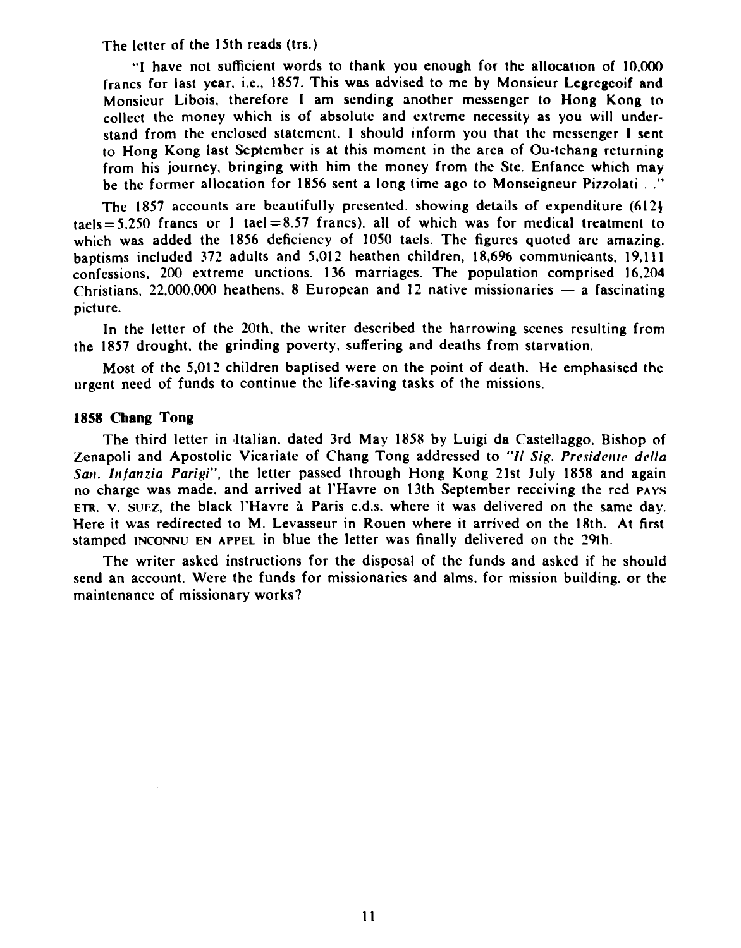The letter of the 15th reads (trs.)

**"I** have not sufficient words to thank you enough for the allocation of 10.m francs for last year, i.e., 1857. This was advised to me by Monsieur Lcgregeoif and Monsieur Libois, therefore I am sending another messenger to Hong Kong to collect thc money which is of absolute and extreme necessity as you will undcrstand from the enclosed statement. I should inform you that the messenger I sent to Hong Kong last September is at this moment in the area of Ou-tchang returning from his journey, bringing with him the money from the Ste. Enfance which may be the former allocation for 1856 sent a long time ago to Monseigneur Pizzolati . ."

The 1857 accounts are beautifully presented. showing details of expenditure (612+  $t = 5.250$  francs or 1 tael=8.57 francs), all of which was for medical treatment to which was added the 1856 deficiency of 1050 taels. The figures quoted are amazing. baptisms included 372 adults and 5,012 heathen children, 18,696 communicants, 19,111 confessions. 200 extreme unctions. 136 marriages. The population comprised 16.204 baptisms included 372 adults and 5,012 neathen children, 18,096 communicants, 19,111<br>confessions, 200 extreme unctions. 136 marriages. The population comprised 16,204<br>Christians, 22,000,000 heathens, 8 European and 12 nati picture.

In the letter of the 20th. the writer described the harrowing scenes resulting from the 1857 drought, the grinding poverty. suffering and dcaths from starvation.

Most of the 5,012 children baptised were on the point of death. He emphasised the urgent need of funds to continue the life-saving tasks of the missions.

### **1858 Chang Tong**

The third letter in dtalian. dated 3rd May 1858 by Luigi da Castellaggo, Bishop of Zenapoli and Apostolic Vicariate of Chang Tong addressed to *"I1 Sig. Presiderrre della Son. Infartzia Parigi",* the letter passed through Hong Kong 21st July 1858 and again no charge was made. and arrived at I'Havre on 13th September receiving the red **PAYS ETR.** V. **SUEZ,** the black 1'Havre **1** Paris c.d.s. where it was delivered on the same day. Here it was redirected to M. Levasseur in Rouen where it arrived on the 18th. At first stamped **INCONNU** EN APPEL in blue the letter was finally delivered on the 29th.

The writer asked instructions for the disposal of the funds and asked if he should send an account. Were the funds for missionaries and alms. for mission building. or the maintenance of missionary works?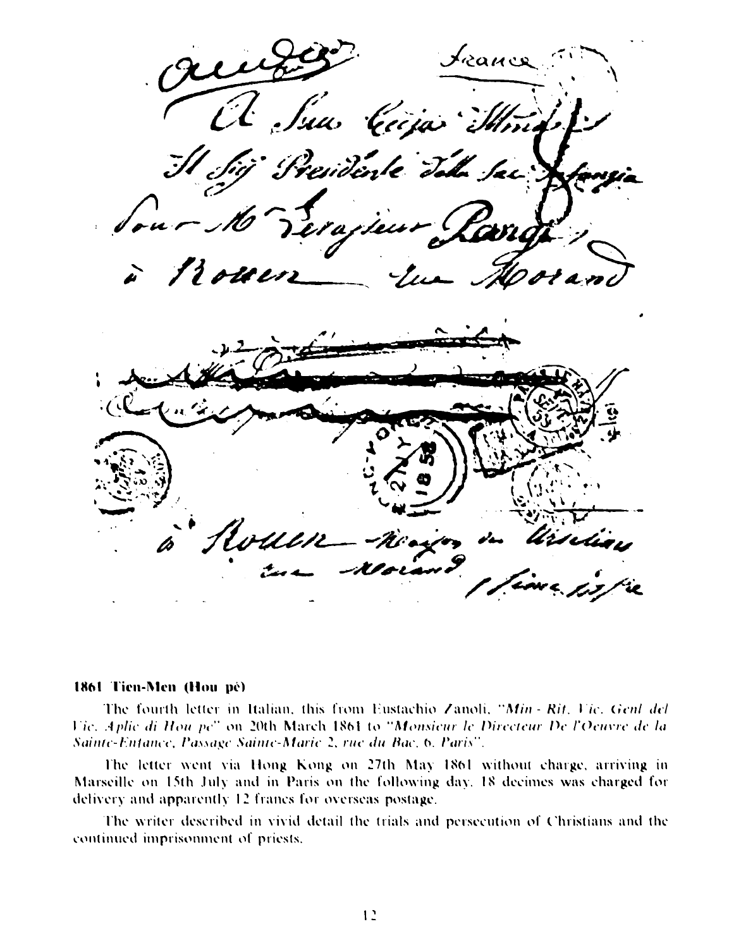Jeance A Sun Cicia Min Presidente Tala Sac : Jeis Boun Rouen ni arin

### 1861 Tien-Men (Hou pé)

The fourth letter in Italian, this from Eustachio Zanoli, "Min - Rit, Vic. Genl del Vic. Aplie di Hou pe" on 20th March 1864 to "Monsieur le Directeur De l'Oeuvre de la Sainte-Enfance, Passage Sainte-Marie 2, rue du Bac. 6, Paris".

The letter went via Hong Kong on 27th May 1861 without charge, arriving in Marseille on 15th July and in Paris on the following day. 18 decimes was charged for delivery and apparently 12 francs for overseas postage.

The writer described in vivid detail the trials and persecution of Christians and the continued imprisonment of priests.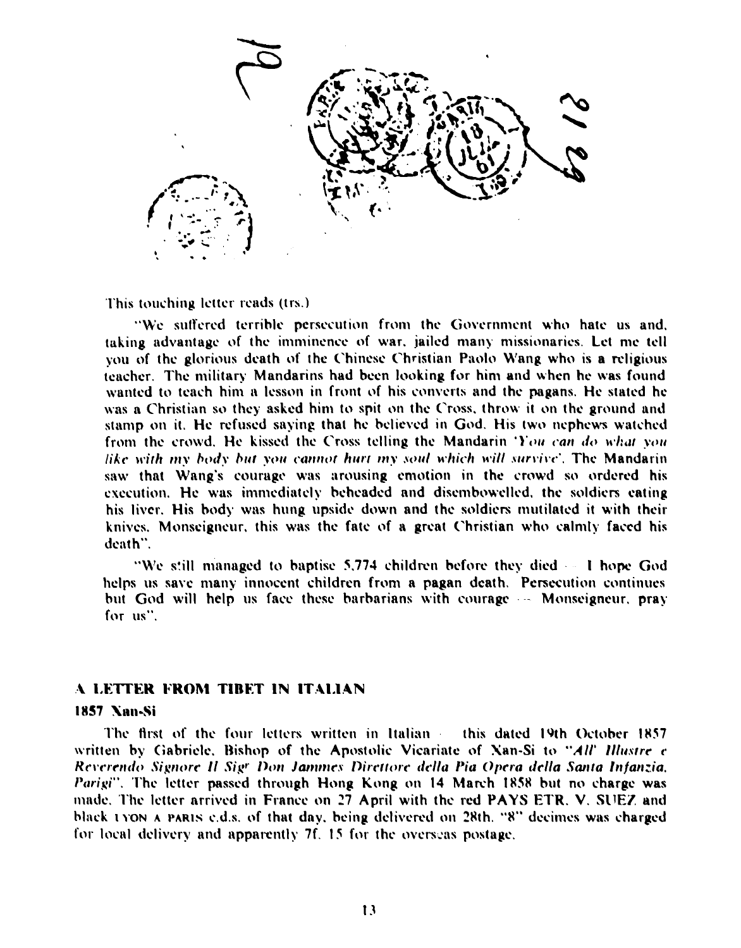

This touching letter reads (trs.)

"We suffered terrible persecution from the Government who hate us and, taking advantage of the imminence of war, jailed many missionaries. Let me tell you of the glorious death of the Chinese Christian Paolo Wang who is a religious teacher. The military Mandarins had been looking for him and when he was found wanted to teach him a lesson in front of his converts and the pagans. He stated he was a Christian so they asked him to spit on the Cross, throw it on the ground and stamp on it. He refused saying that he believed in God. His two nephews watched from the crowd. He kissed the Cross telling the Mandarin 'You can do what you like with my body but you cannot hurt my soul which will survive'. The Mandarin saw that Wang's courage was arousing emotion in the crowd so ordered his execution. He was immediately beheaded and disembowelled, the soldiers eating his liver. His body was hung upside down and the soldiers mutilated it with their knives. Monseigneur, this was the fate of a great Christian who calmly faced his death".

"We still managed to baptise 5,774 children before they died on I hope God helps us save many innocent children from a pagan death. Persecution continues but God will help us face these barbarians with courage -- Monseigneur, pray for us".

### A LETTER FROM TIBET IN ITALIAN

### 1857 Nan-Si

The first of the four letters written in Italian this dated 19th October 1857. written by Gabriele, Bishop of the Apostolic Vicariate of Xan-Si to "All' Illustre c Reverendo Signore Il Sigr Don Jammes Direttore della Pia Opera della Santa Infanzia, Parigi". The letter passed through Hong Kong on 14 March 1858 but no charge was made. The letter arrived in France on 27 April with the red PAYS ETR. V. SUEZ and black 1 YON A PARIS c.d.s. of that day, being delivered on 28th. "8" decimes was charged for local delivery and apparently 7f. 15 for the overseas postage.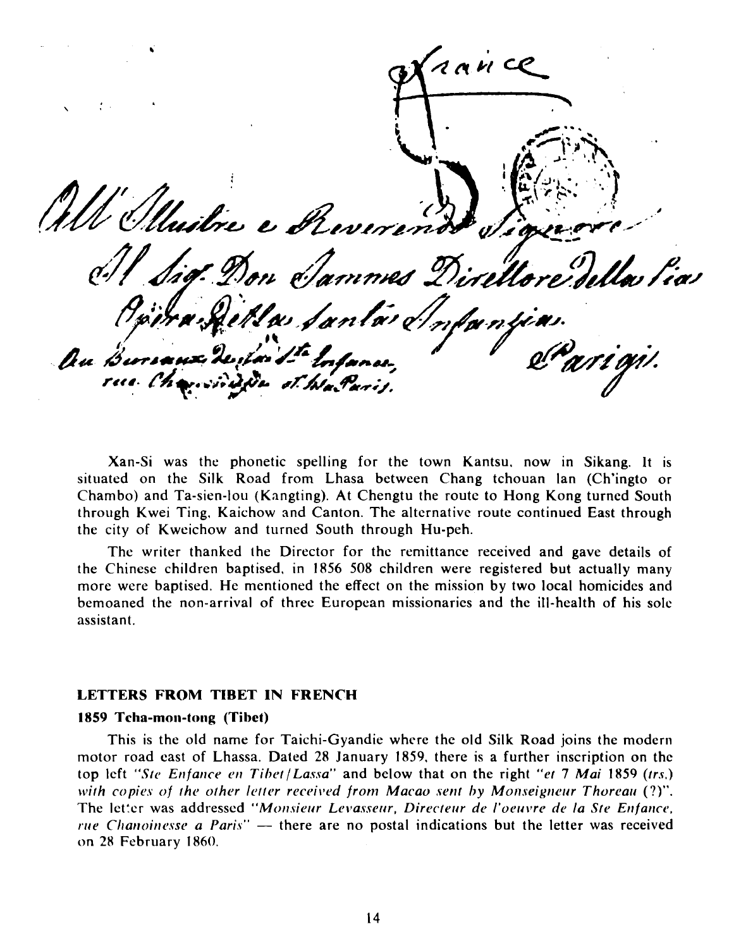$AANCC$ Unitre e Reverend Don Sammes Direllor Ma Santa di Au Bursanz Derland de Infance,

Xan-Si was the phonetic spelling for the town Kantsu, now in Sikang. It is situated on the Silk Road from Lhasa between Chang tchouan lan (Ch'ingto or Chambo) and Ta-sien-lou (Kangting). At Chengtu the route to Hong Kong turned South through Kwei Ting, Kaichow and Canton. The alternative route continued East through the city of Kweichow and turned South through Hu-peh.

The writer thanked the Director for the remittance received and gave details of the Chinese children baptised, in 1856 508 children were registered but actually many more were baptised. He mentioned the effect on the mission by two local homicides and bemoaned the non-arrival of three European missionaries and the ill-health of his sole assistant.

### **LETTERS FROM TIBET IN FRENCH**

### 1859 Tcha-mon-tong (Tibet)

This is the old name for Taichi-Gyandie where the old Silk Road joins the modern motor road east of Lhassa. Dated 28 January 1859, there is a further inscription on the top left "Ste Enfance en Tibet/Lassa" and below that on the right "et 7 Mai 1859 (trs.) with copies of the other letter received from Macao sent by Monseigneur Thoreau (?)". The letter was addressed "Monsieur Levasseur, Directeur de l'oeuvre de la Ste Enfance, *rue Chanoinesse a Paris*" — there are no postal indications but the letter was received on 28 February 1860.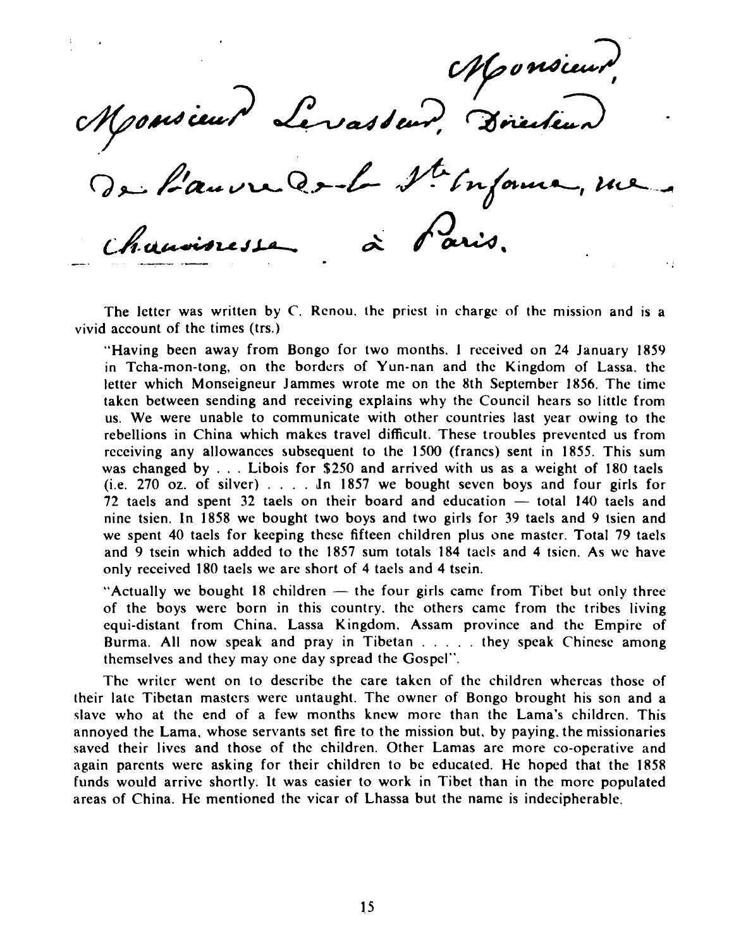Monsieur, Directeur, Monsieur

The letter was written by *C.* Rcnou. the priest in charge of the mission and is a vivid account of thc times (trs.)

чý

"Having been away from Bongo for two months. 1 rcceived on **24** January **1859**  in Tcha-mon-tong, on the borders of Yun-nan and the Kingdom of Lassa. the letter which Monseigneur Jammes wrote me on the 8th September **1856.** The time taken between sending and receiving explains why the Council hears so little from us. We were unable to communicate with other countries last year owing to thc rebellions in China which makes travel difficult. These troubles prevented us from rcceiving any allowances subsequent to the **1500** (francs) sent in **1855.** This sum was changed by . . . Libois for **\$250** and arrived with us as a weight of **180** taels (i.e. **270** oz. of silver) . . . . dn **1857** we bought seven boys and four girls for was changed by . . . Libois for \$250 and arrived with us as a weight of 180 taels (i.e. 270 oz. of silver) . . . . . In 1857 we bought seven boys and four girls for 72 taels and spent 32 taels on their board and education nine tsien. In **1858** we bought two boys and two girls for **39** taels and **9** tsien and we spent **40** taels for keeping these fifteen children plus one master. Total **79** taels and **9** tsein which added to thc **1857** sum totals **184** tach and **4** tsicn. As we have only received **180** taels we are short of **4** taels and **4** tsein.

"Actually we bought 18 children  $-$  the four girls came from Tibet but only three of the boys were born in this country. thc others came from thc tribes living equi-distant from China. Lassa Kingdom. Assam province and the Empirc of Burma. All now speak and pray in Tibetan . . . . . they speak Chinese among themselves and they may one day spread the Gospel".

Thc writer went on to describe the care takcn of the children whcrcas those of their latc Tibetan mastcrs werc untaught. The owner of Bongo brought his son and a slave who at the end of a few months knew more than the Lama's children. This annoyed the Lama, whose servants set fire to the mission but. by paying. the missionaries saved their lives and those of thc children. Other Lamas arc more co-operative and again parents were asking for their childrcn to be educated. Hc hoped that the **1858**  funds would arrive shortly. It was easier to work in Tibet than in the morc populated areas of China. He mentioned the vicar of Lhassa but the namc is indecipherable.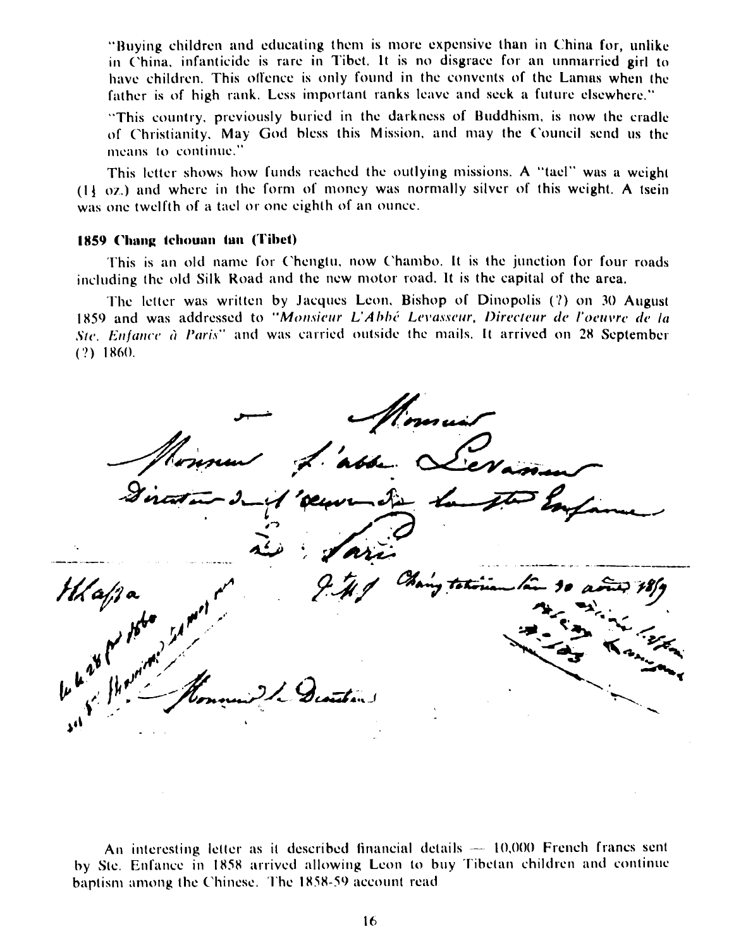"Buying children and educating them is more expensive than in China for, unlike in China, infanticide is rare in Tibet. It is no disgrace for an unmarried girl to have children. This offence is only found in the convents of the Lamas when the father is of high rank. Less important ranks leave and seek a future elsewhere."

"This country, previously buried in the darkness of Buddhism, is now the cradle of Christianity, May God bless this Mission, and may the Council send us the means to continue."

This letter shows how funds reached the outlying missions. A "tael" was a weight  $(1)$  oz.) and where in the form of money was normally silver of this weight. A tsein was one twelfth of a tael or one eighth of an ounce.

### 1859 Chang tchouan tan (Tibet)

This is an old name for Chengtu, now Chambo. It is the junction for four roads including the old Silk Road and the new motor road. It is the capital of the area.

The letter was written by Jacques Leon, Bishop of Dinopolis (?) on 30 August 1859 and was addressed to "Monsieur L'Abbé Levasseur, Directeur de l'oeuvre de la Ste, Enfance à Paris" and was carried outside the mails. It arrived on 28 September  $(?) 1860.$ 

bbe.

An interesting letter as it described financial details  $-10,000$  French francs sent by Ste. Enfance in 1858 arrived allowing Leon to buy Tibetan children and continue baptism among the Chinese. The 1858-59 account read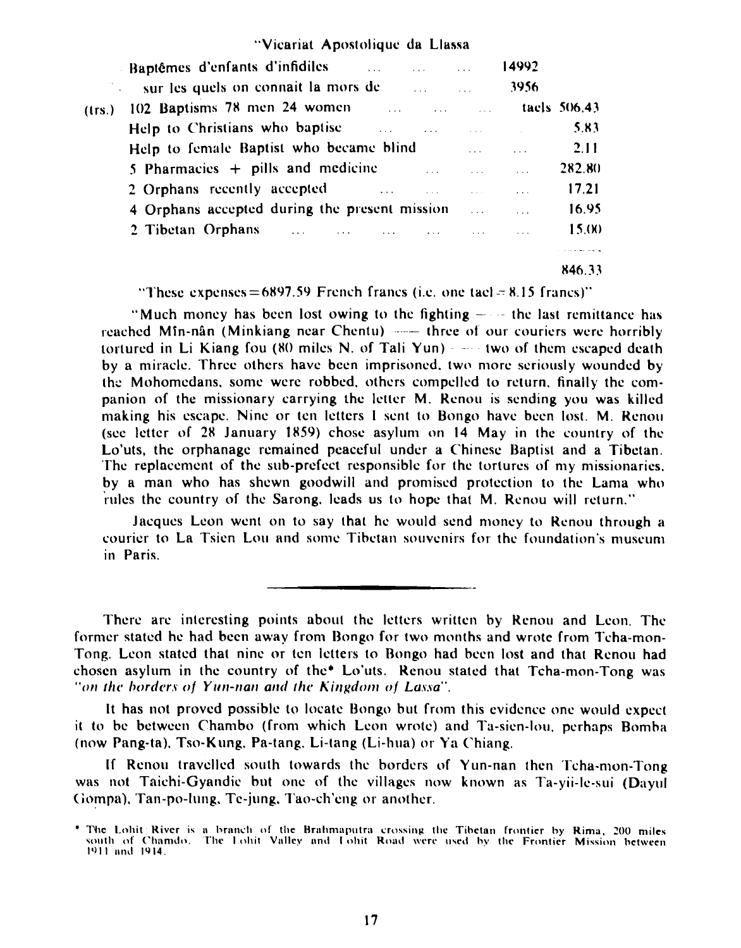|  | "Vicariat Apostolique da Llassa |  |  |
|--|---------------------------------|--|--|
|--|---------------------------------|--|--|

|        | Baptêmes d'enfants d'infidiles<br>and the second contract of the second second contract of the second second second second second second second second second second second second second second second second second second second second second second second |                               |                                                                                                                         | 14992                            |        |
|--------|-----------------------------------------------------------------------------------------------------------------------------------------------------------------------------------------------------------------------------------------------------------------|-------------------------------|-------------------------------------------------------------------------------------------------------------------------|----------------------------------|--------|
|        | sur les quels on connait la mors de                                                                                                                                                                                                                             | and the state of the state of |                                                                                                                         | 3956                             |        |
| (1rs.) | 102 Baptisms 78 men 24 women                                                                                                                                                                                                                                    |                               |                                                                                                                         | <b>EXECUTE:</b> Tack tack 506.43 |        |
|        | Help to Christians who baptise<br>and the company of the company of the company of the company of the company of the company of the company of the                                                                                                              |                               |                                                                                                                         |                                  | 5.83   |
|        | Help to female Baptist who became blind                                                                                                                                                                                                                         |                               | and the state of the state of the state of                                                                              |                                  | 2.11   |
|        | 5 Pharmacies $+$ pills and medicine                                                                                                                                                                                                                             |                               | <u>and the second second second second second second second second second second second second second second second</u> |                                  | 282.80 |
|        | 2 Orphans recently accepted and the contract of the contract of the contract of the contract of the contract of the contract of the contract of the contract of the contract of the contract of the contract of the contract o                                  |                               |                                                                                                                         |                                  | 17.21  |
|        | 4 Orphans accepted during the present mission                                                                                                                                                                                                                   |                               |                                                                                                                         |                                  | 16.95  |
|        | 2 Tibetan Orphans and the contract of the contract of the contract of the contract of the contract of the contract of the contract of the contract of the contract of the contract of the contract of the contract of the cont                                  |                               |                                                                                                                         |                                  | 15.00  |
|        |                                                                                                                                                                                                                                                                 |                               |                                                                                                                         |                                  |        |
|        |                                                                                                                                                                                                                                                                 |                               |                                                                                                                         |                                  | 846.33 |

"These expenses=6897.59 French francs (i.e. one tacl  $= 8.15$  francs)"

"Much money has been lost owing to the fighting  $-\cdot$  the last remittance has renched Min-nln (Minkiang near Chcntu) three **of** our couricrs wcrc horribly tortured in Li Kiang fou  $(80 \text{ miles N. of Tali Yun})$   $-$  two of them escaped death by a niiraclc. Thrcc others havc bccn imprisoned. two more seriously wounded by the Mohomedans, some were robbed, others compelled to return, finally the companion of the missionary carrying the lcttcr M. Kcnou is sending you was killed making his escape. Nine or ten letters I sent to Bongo have been lost. M. Renou (see Icttcr **or 28** January **1859)** chose asylum **on** 14 May in thc country of the Lo'uts, thc orphanage remained peaceful under a Chinese Baptist and a Tibctan. The replacement of the sub-prefect responsible for the tortures of my missionaries. by a man who has shewn goodwill and promised protection to the Lama who rules the country of the Sarong. leads us to hope that M. Renou will return."

Jncqucs Lcon went **on** to say that hc would send money to Kcnou through a courier to La Tsien Lou and some Tibetan souvenirs for the foundation's museum in Paris.

l'herc arc interesting points about thc letters written by Kcnou and Lcon. The former stated he had been away from Bongo for two months and wrote from Tcha-mon-Tong. Lcon statcd that nine or ten letters to Bongo had bccn lost and that Rcnou had chosen asylum in the country of the $*$  Lo'uts. Renou stated that Tcha-mon-Tong was "on the borders of **Yun-nan and the Kingdom of Lassa".** 

It has not proved possible to locate Bongo but from this evidence one would expect it to be between Chambo (from which Leon wrote) and Ta-sien-lou, perhaps Bomba (now Pang-t~). Tso-Kung. Pa-tang. Li-tang (Li-hua) or Y:I ('hiang.

If Renou travelled south towards the borders of Yun-nan then Tcha-mon-Tong was not Taichi-Gyandic but one of the villages now known as Ta-yii-le-sui (Dayul Gompa). Tan-po-lung. Te-jung. Tao-ch'eng or another.

The Lohit River is a branch of the Brahmaputra crossing the Tibetan frontier by Rima, 200 miles<br>south of Chamdo. The Lohit Valley and Lohit Road were used by the Frontier Mission between **1911** and 1914.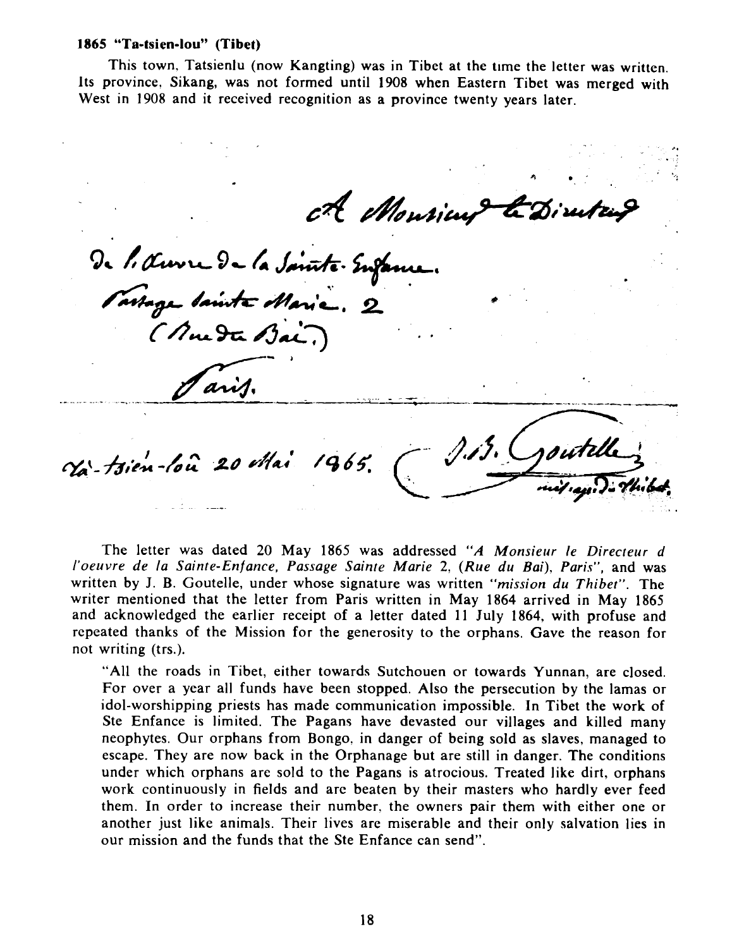### **1865 "Ta-tsien-IOU" (Tibet)**

This town, Tatsienlu (now Kangting) was in Tibet at the time the letter was written. Its province. Sikang, was not formed until **1908** when Eastern Tibet was merged with West in **1908** and it received recognition as a province twenty years later.

ch Monrieu de l'Auvre de la Sainte Enfance. Tartage Sainte Marie. 2 (Mueta Bai, aris. Va-tsien-loù 20 Mai 1965.

The letter was dated 20 May 1865 was addressed "A Monsieur le Directeur d *I'oeuvre de la Sainte-Enfance, Passage Sainte Marie* **2?** *(Rue du Boi), Paris",* and was written by J. B. Goutelle, under whose signature was written *"mission du Thibet".* The writer mentioned that the letter from Paris written in May **1864** arrived in May **1865**  and acknowledged the earlier receipt of a letter dated 11 July **1864,** with profuse and repeated thanks of the Mission for the generosity to the orphans. Gave the reason for not writing (trs.).

"All the roads in Tibet, either towards Sutchouen or towards Yunnan, are closed. For over a year all funds have been stopped. Also the persecution by the lamas or idol-worshipping priests has made communication impossible. In Tibet the work of Ste Enfance is limited. The Pagans have devasted our villages and killed many neophytes. Our orphans from Bongo, in danger of being sold as slaves, managed to escape. They are now back in the Orphanage but are still in danger. The conditions under which orphans are sold to the Pagans is atrocious. Treated like dirt, orphans work continuously in fields and arc beaten by their masters who hardly ever feed them. In order to increase their number. the owners pair them with either one or another just like animals. Their lives are miserable and their only salvation lies in our mission and the funds that the Ste Enfance can send".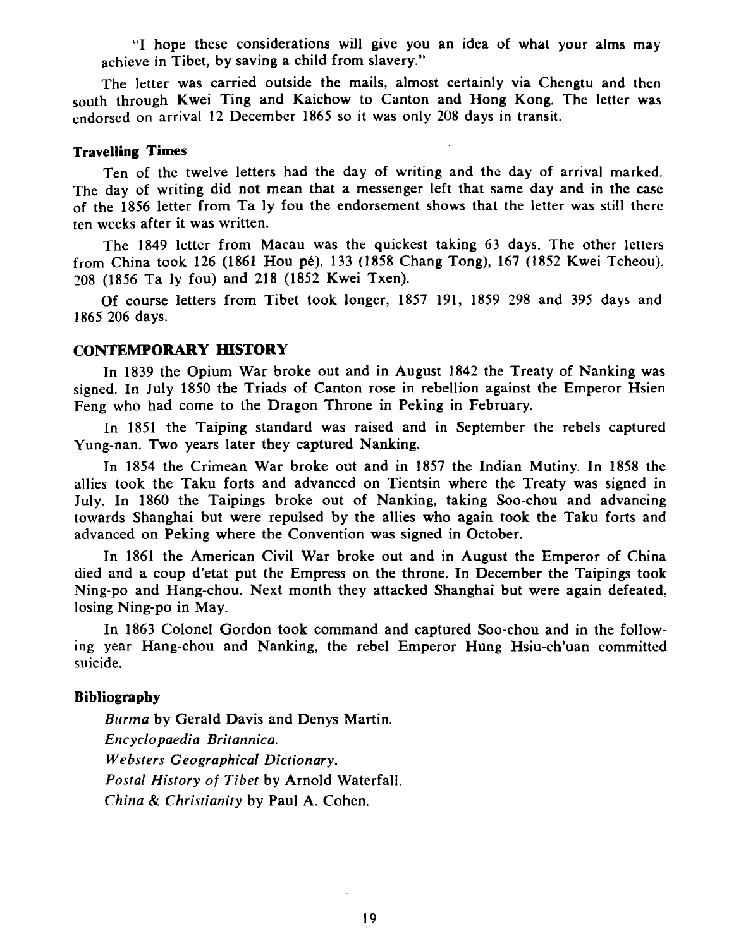"I hope these considerations will give you an idea of what your alms may achieve in Tibet, by saving a child from slavery."

The letter was carried outside the mails, almost certainly via Chengtu and then south through Kwei Ting and Kaichow to Canton and Hong Kong. The letter was endorsed on arrival **12** December **1865** so it was only **208** days in transit.

### **Travelling Times**

Ten of the twelve letters had the day of writing and thc day of arrival marked. The day of writing did not mean that a messenger left that same day and in the case of the **1856** letter from Ta ly fou the endorsement shows that the letter was still there ten weeks after it was written.

The **1849** letter from Macau was the quickest taking **63** days. The other letters from China took **126 (1861** Hou pe), **133 (1858** Chang Tong), **167 (1852** Kwei Tcheou). **208 (1856** Ta ly fou) and **218 (1852** Kwei Txen).

Of course letters from Tibet took longer, **1857 191, 1859 298** and **395** days and **1865 206** days.

### **CONTEMPORARY HISTORY**

In **1839** the Opium War broke out and in August **1842** the Treaty of Nanking was signed. In July **1850** the Triads of Canton rose in rebellion against the Emperor Hsien Feng who had come to the Dragon Throne in Peking in February.

In **1851** the Taiping standard was raised and in September the rebels captured Yung-nan. Two years later they captured Nanking.

In **1854** the Crimean War broke out and in **1857** the Indian Mutiny. In **1858** the allies took the Taku forts and advanced on Tientsin where the Treaty was signed in July. In **1860** the Taipings broke out of Nanking, taking Soo-chou and advancing towards Shanghai but were repulsed by the allies who again took the Taku forts and advanced on Peking where the Convention was signed in October.

In **1861** the American Civil War broke out and in August the Emperor of China died and a coup d'etat put the Empress on the throne. In December the Taipings took Ning-po and Hang-chou. Next month they attacked Shanghai but were again defeated, losing Ning-po in May.

In **1863** Colonel Gordon took command and captured Soo-chou and in the following year Hang-chou and Nanking, the rebel Emperor Hung Hsiu-ch'uan committed suicide.

### **Bibliography**

*Burma* by Gerald Davis and Denys Martin. *Encyclopaedia Britannica. Websters Geographical Dictionary. Postal History of Tibet* by Arnold Waterfall. *China* & *Christianity* by Paul *A.* Cohen.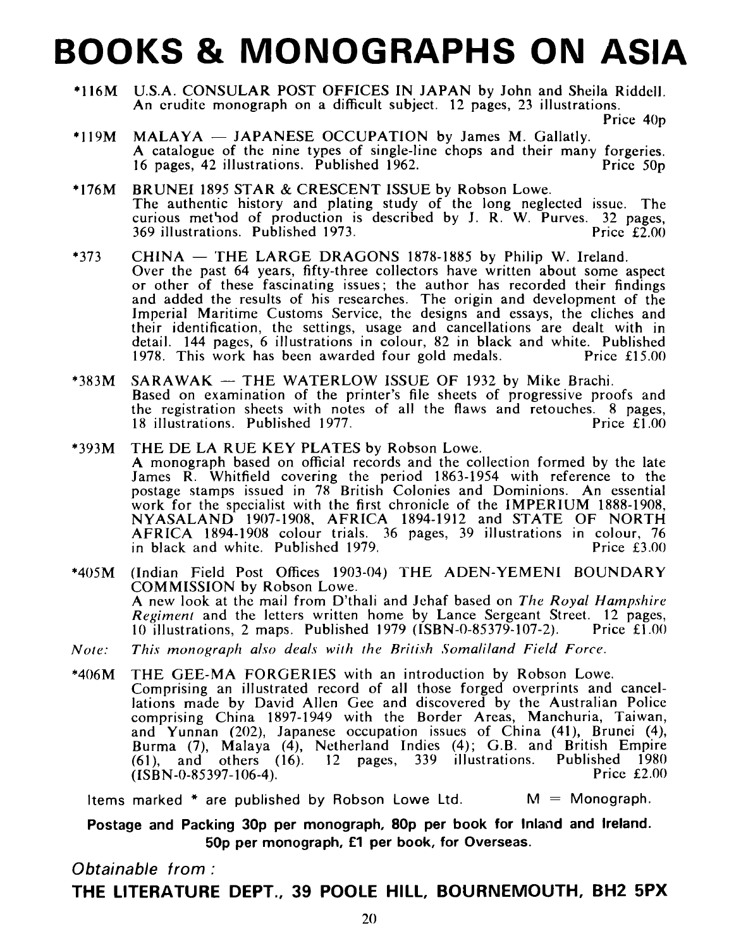### **BOOKS** & **MONOGRAPHS ON ASIA**

U.S.A. CONSULAR POST OFFICES IN JAPAN by John and Sheila Riddell. An crudite monograph on a difficult subject. 12 pages, 23 illustrations.

Price 40<sub>p</sub>

- $MALAYA JAPANESE$  OCCUPATION by James M. Gallatly.  $*119M$ A catalogue of the nine types of single-line chops and their many forgeries.<br>16 pages, 42 illustrations. Published 1962. 16 pages,  $42$  illustrations. Published 1962.
- BRUNEI 1895 STAR & CRESCENT ISSUE by Robson Lowe.  $*176M$ The authentic history and plating study of the long neglected issue. The curious method of production is described by J. R. W. Purves. 32 pages,  $369$  illustrations. Published 1973. 369 illustrations. Published 1973.
- $*373$  $CHINA - THE LARGE DRAGONS$  1878-1885 by Philip W. Ireland. Over the past 64 years, fifty-three collectors have written about some aspect or other of these fascinating issues; the author has recorded their findings and added the results of his researches. The origin and development of the Imperial Maritime Customs Service, the designs and essays, the cliches and their identification, the settings, usage and cancellations are dealt with in detail. 144 pages, 6 illustrations in colour, 82 in black and white. Published<br>1978. This work has been awarded four gold medals. Price £15.00 1978. This work has been awarded four gold medals.
- $SARAWAK THE WATERLOW ISSUE OF 1932 by Mike Brachi.$  $*383M$ Based on examination of the printer's file sheets of progressive proofs and the registration sheets with notes of all the flaws and retouches. 8 pages,<br>18 illustrations. Published 1977. 18 illustrations. Published 1977.
- THE DE LA RUE KEY PLATES by Robson Lowe.  $*393M$ A monograph based on official records and the collection formed by the late James R. Whitfield covering the period 1863-1954 with reference to the postage stamps issued in 78 British Colonies and Dominions. An essential work for the specialist with the first chronicle of the IMPERIUM 1888-1908, NYASALAND 1907-1908. AFRICA 1894-1912 and STATE OF NORTH AFRICA 1894-1908 colour trials. 36 pages, 39 illustrations in colour, 76 in black and white. Published 1979.
- (Indian Field Post Offices 1903-04) THE ADEN-YEMENI BOUNDARY  $*405M$ COMMISSION by Robson Lowe. A new look at the mail from D'thali and Jehaf based on The *Royal Hampshire Regiment* and the letters written home by Lance Sergeant Street. 12 pages, 10 illustrations, 2 maps. Published 1979 (ISBN-0-85379-107-2). Price £1.00 10 illustrations, 2 maps. Published 1979 (ISBN-0-85379-107-2).
- This monograph also deals with the British Somaliland Field Force.  $Note:$
- THE GEE-MA FORGERIES with an introduction by Robson Lowe.  $*406M$ Comprising an illustrated record of all those forged overprints and cancellations made by David Allen Gee and discovered by the Australian Police comprising China 1897-1949 with the Border Areas, Manchuria, Taiwan, and Yunnan (202), Japanese occupation issues of China (41), Brunei (4), Burma (7), Malaya (4), Netherland Indies (4); G.B. and British Empire (61), and others (16). 12 pages, 339 illustrations. Published 1980 (ISBN-0-85397-106-4). Price £2.00

Items marked  $*$  are published by Robson Lowe Ltd.  $M = Monograph$ .

Postage and Packing 30p per monograph, 80p per book for Inland and Ireland. 50p per monograph, **€1** per book, for Overseas.

### **Obtainable from** :

**THE LITERATURE DEPT., 39 POOLE HILL, BOURNEMOUTH, BH2 5PX**